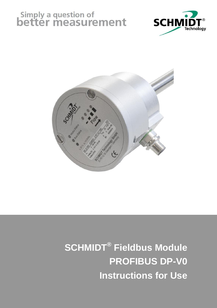# Simply a question of<br>**better measurement**





# **SCHMIDT® Fieldbus Module PROFIBUS DP-V0 Instructions for Use**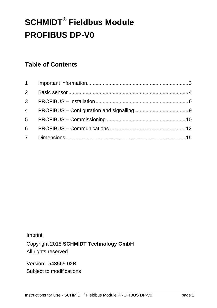# **SCHMIDT® Fieldbus Module PROFIBUS DP-V0**

#### **Table of Contents**

Imprint:

Copyright 2018 **SCHMIDT Technology GmbH** All rights reserved

Version: 543565.02B Subject to modifications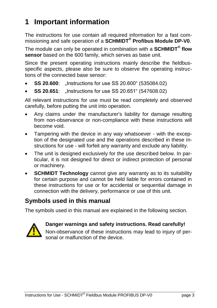## <span id="page-2-0"></span>**1 Important information**

The instructions for use contain all required information for a fast commissioning and safe operation of a **SCHMIDT® Profibus Module DP-V0**.

The module can only be operated in combination with a **SCHMIDT® flow sensor** based on the 600 family, which serves as base unit.

Since the present operating instructions mainly describe the fieldbusspecific aspects, please also be sure to observe the operating instructions of the connected base sensor:

- **SS 20.600:** ...Instructions for use SS 20.600" (535084.02)
- **SS 20.651:** "Instructions for use SS 20.651" (547608.02)

All relevant instructions for use must be read completely and observed carefully, before putting the unit into operation.

- Any claims under the manufacturer's liability for damage resulting from non-observance or non-compliance with these instructions will become void.
- Tampering with the device in any way whatsoever with the exception of the designated use and the operations described in these instructions for use - will forfeit any warranty and exclude any liability.
- The unit is designed exclusively for the use described below. In particular, it is not designed for direct or indirect protection of personal or machinery.
- **SCHMIDT Technology** cannot give any warranty as to its suitability for certain purpose and cannot be held liable for errors contained in these instructions for use or for accidental or sequential damage in connection with the delivery, performance or use of this unit.

#### **Symbols used in this manual**

The symbols used in this manual are explained in the following section.



#### **Danger warnings and safety instructions. Read carefully!**

Non-observance of these instructions may lead to injury of personal or malfunction of the device.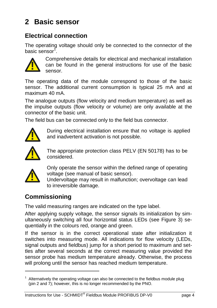# <span id="page-3-0"></span>**2 Basic sensor**

#### **Electrical connection**

The operating voltage should only be connected to the connector of the basic sensor $\mathsf{f}.$ 



Comprehensive details for electrical and mechanical installation can be found in the general instructions for use of the basic sensor.

The operating data of the module correspond to those of the basic sensor. The additional current consumption is typical 25 mA and at maximum 40 mA.

The analogue outputs (flow velocity and medium temperature) as well as the impulse outputs (flow velocity or volume) are only available at the connector of the basic unit.

The field bus can be connected only to the field bus connector.



During electrical installation ensure that no voltage is applied and inadvertent activation is not possible.



The appropriate protection class PELV (EN 50178) has to be considered.



-

Only operate the sensor within the defined range of operating voltage (see manual of basic sensor).

Undervoltage may result in malfunction; overvoltage can lead to irreversible damage.

#### **Commissioning**

The valid measuring ranges are indicated on the type label.

After applying supply voltage, the sensor signals its initialization by simultaneously switching all four horizontal status LEDs (see Figure 3) sequentially in the colours red, orange and green.

If the sensor is in the correct operational state after initialization it switches into measuring mode. All indications for flow velocity (LEDs, signal outputs and fieldbus) jump for a short period to maximum and settles after several seconds at the correct measuring value provided the sensor probe has medium temperature already. Otherwise, the process will prolong until the sensor has reached medium temperature. (an be found in the general instructions for<br>the operating data of the module correspond to the<br>nasor. The additional current consumption is typica<br>aximum 40 mA.<br>A he analogue outputs (flow velocity or volume) are only<br>axi

Alternatively the operating voltage can also be connected to the fieldbus module plug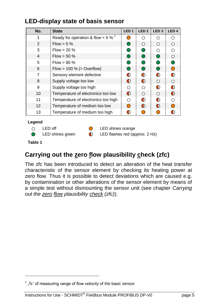#### **LED-display state of basis sensor**

| No.            | <b>State</b>                          | LED <sub>1</sub> | LED <sub>2</sub> | LED <sub>3</sub> | LED <sub>4</sub> |
|----------------|---------------------------------------|------------------|------------------|------------------|------------------|
| 1              | Ready for operation & flow < 5 % $^2$ | $\bigcirc$       | ∩                | ∩                |                  |
| $\overline{2}$ | $Flow > 5 \%$                         | ◯                | ∩                | $\bigcirc$       |                  |
| 3              | Flow > 20%                            | ⌒                | $\bigcap$        | ∩                |                  |
| $\overline{4}$ | $Flow > 50 \%$                        | ●                | $\bigcirc$       | ∩                |                  |
| 5              | $Flow > 80 \%$                        | ⌒                | ◯                | ●                |                  |
| 6              | Flow $> 100 %$ (= Overflow)           | ⌒                | ∩                | ∩                |                  |
| 7              | Sensory element defective             | $\bigcirc$       | $\bigcirc$       | $\bullet$        |                  |
| 8              | Supply voltage too low                | $\bigcirc$       | $\bigcirc$       | $\bigcirc$       |                  |
| 9              | Supply voltage too high               | ∩                | ∩                | ∩                |                  |
| 10             | Temperature of electronics too low    | $\bigcirc$       | ∩                | $\bigcirc$       |                  |
| 11             | Temperature of electronics too high   | ◯                | $\bigcap$        | ∩                |                  |
| 12             | Temperature of medium too low         | $\bigcirc$       | $\bigcirc$       | $\bullet$        |                  |
| 13             | Temperature of medium too high        | O                |                  | ⊂                |                  |

#### **Legend**

- $\circ$
- $\bullet$

LED off **COULD** LED shines orange

LED shines green **C** LED flashes red (approx. 2 Hz)

<span id="page-4-1"></span>**Table 1**

1

#### <span id="page-4-0"></span>**Carrying out the zero flow plausibility check (zfc)**

The zfc has been introduced to detect an alteration of the heat transfer characteristic of the sensor element by checking its heating power at zero flow. Thus it is possible to detect deviations which are caused e.g. by contamination or other alterations of the sensor element by means of a simple test without dismounting the sensor unit (see chapter *[Carrying](#page-4-0)  out the zero flow [plausibility check](#page-4-0) (zfc)*).

 $2^{2}$  "%" of measuring range of flow velocity of the basic sensor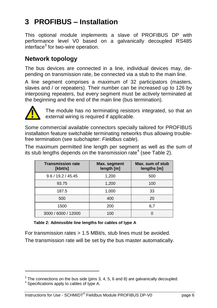# <span id="page-5-0"></span>**3 PROFIBUS – Installation**

This optional module implements a slave of PROFIBUS DP with performance level V0 based on a galvanically decoupled RS485 interface<sup>3</sup> for two-wire operation.

#### **Network topology**

The bus devices are connected in a line, individual devices may, depending on transmission rate, be connected via a stub to the main line.

A line segment comprises a maximum of 32 participators (masters, slaves and / or repeaters). Their number can be increased up to 126 by interposing repeaters, but every segment must be actively terminated at the beginning and the end of the main line (bus termination).



-

The module has no terminating resistors integrated, so that an external wiring is required if applicable.

Some commercial available connectors specially tailored for PROFIBUS installation feature switchable terminating networks thus allowing troublefree termination (see subchapter: *[Fieldbus](#page-6-0) cable*).

The maximum permitted line length per segment as well as the sum of its stub lengths depends on the transmission rate<sup>4</sup> (see [Table 2\)](#page-5-1).

| <b>Transmission rate</b><br>[kbit/s] | Max. segment<br>length [m] | Max. sum of stub<br>lengths [m] |
|--------------------------------------|----------------------------|---------------------------------|
| 9.6 / 19.2 / 45.45                   | 1,200                      | 500                             |
| 93.75                                | 1,200                      | 100                             |
| 187.5                                | 1,000                      | 33                              |
| 500                                  | 400                        | 20                              |
| 1500                                 | 200                        | 6,7                             |
| 3000 / 6000 / 12000                  | 100                        |                                 |

<span id="page-5-1"></span>**Table 2: Admissible line lengths for cables of type A**

For transmission rates > 1.5 MBit/s, stub lines must be avoided. The transmission rate will be set by the bus master automatically.

 $3$  The connections on the bus side (pins 3, 4, 5, 6 and 8) are galvanically decoupled.

 $4$  Specifications apply to cables of type A.

Instructions for Use - SCHMIDT<sup>®</sup> Fieldbus Module PROFIBUS DP-V0 page 6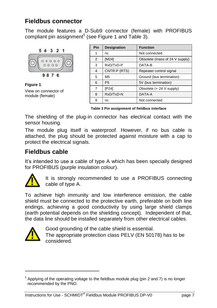#### **Fieldbus connector**

The module features a D-Sub9 connector (female) with PROFIBUS compliant pin assignment<sup>5</sup> (see [Figure](#page-6-1) 1 and [Table 3\)](#page-6-2).



<span id="page-6-1"></span>**Figure 1**: View on connector of module (female)

| Pin | <b>Designation</b> | <b>Function</b>                |
|-----|--------------------|--------------------------------|
| 1   | nc                 | Not connected                  |
| 2   | [M24]              | Obsolete (mass of 24 V supply) |
| 3   | RxD/TxD-P          | DATA-B                         |
| 4   | CNTR-P (RTS)       | Repeater control signal        |
| 5   | M <sub>5</sub>     | Ground (bus termination)       |
| 6   | <b>P5</b>          | 5V (bus termination)           |
| 7   | [P24]              | Obsolete (+ 24 V supply)       |
| 8   | RxD/TxD-N          | DATA-A                         |
| 9   | nc                 | Not connected                  |

<span id="page-6-2"></span>**Table 3 Pin assignment of fieldbus interface**

The shielding of the plug-in connector has electrical contact with the sensor housing.

The module plug itself is waterproof. However, if no bus cable is attached, the plug should be protected against moisture with a cap to protect the electrical signals.

#### <span id="page-6-0"></span>**Fieldbus cable**

It's intended to use a cable of type A which has been specially designed for PROFIBUS (purple insulation colour).



It is strongly recommended to use a PROFIBUS connecting cable of type A.

To achieve high immunity and low interference emission, the cable shield must be connected to the protective earth, preferable on both line endings, achieving a good conductivity by using large shield clamps (earth potential depends on the shielding concept). Independent of that, the data line should be installed separately from other electrical cables. It is strongly<br>
cable of type A<br>
cable of type A<br>
cable of type A<br>
indings, achieving a<br>
carth potential depence<br>
cable by Good groundin<br>
The appropria<br>
considered.<br>
Applying of the operating vertecommended by the PNO.



-

Good grounding of the cable shield is essential. The appropriate protection class PELV (EN 50178) has to be considered.

<sup>5</sup> Applying of the operating voltage to the fieldbus module plug (pin 2 and 7) is no longer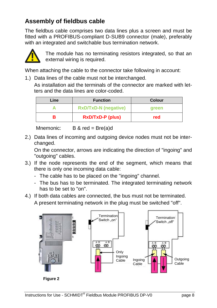#### **Assembly of fieldbus cable**

The fieldbus cable comprises two data lines plus a screen and must be fitted with a PROFIBUS-compliant D-SUB9 connector (male), preferably with an integrated and switchable bus termination network.



The module has no terminating resistors integrated, so that an external wiring is required.

When attaching the cable to the connector take following in account:

1.) Data lines of the cable must not be interchanged.

As installation aid the terminals of the connector are marked with letters and the data lines are color-coded.

| Line | <b>Function</b>             | <b>Colour</b> |
|------|-----------------------------|---------------|
|      | <b>RxD/TxD-N (negative)</b> | areen         |
|      | <b>RxD/TxD-P (plus)</b>     | red           |

Mnemonic:  $B & red = Bre(a)d$ 

2.) Data lines of incoming and outgoing device nodes must not be interchanged.

On the connector, arrows are indicating the direction of "ingoing" and "outgoing" cables.

- 3.) If the node represents the end of the segment, which means that there is only one incoming data cable:
	- The cable has to be placed on the "ingoing" channel.
	- The bus has to be terminated. The integrated terminating network has to be set to "on".
- 4.) If both data cables are connected, the bus must not be terminated. A present terminating network in the plug must be switched "off".



**Figure 2**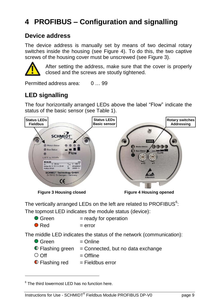# <span id="page-8-0"></span>**4 PROFIBUS – Configuration and signalling**

#### **Device address**

The device address is manually set by means of two decimal rotary switches inside the housing (see [Figure 4\)](#page-8-1). To do this, the two captive screws of the housing cover must be unscrewed (see [Figure 3\)](#page-8-2).



After setting the address, make sure that the cover is properly closed and the screws are stoutly tightened.

Permitted address area: 0 … 99

### **LED signalling**

The four horizontally arranged LEDs above the label "Flow" indicate the status of the basic sensor (see [Table 1\)](#page-4-1).



<span id="page-8-2"></span>

The topmost LED indicates the module status (device):

<span id="page-8-1"></span>

| ● Green       | $=$ ready for operation |
|---------------|-------------------------|
| $\bullet$ Red | $=$ error               |

The middle LED indicates the status of the network (communication):

| ● Green               | $=$ Online                                                 |
|-----------------------|------------------------------------------------------------|
|                       | $\bullet$ Flashing green = Connected, but no data exchange |
| $\circ$ Off           | $=$ Offline                                                |
| <b>C</b> Flashing red | $=$ Fieldbus error                                         |

 $6$  The third lowermost LED has no function here.

1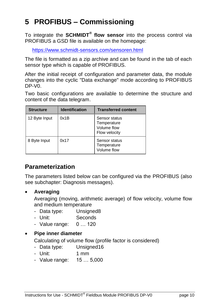# <span id="page-9-0"></span>**5 PROFIBUS – Commissioning**

To integrate the **SCHMIDT® flow sensor** into the process control via PROFIBUS a GSD file is available on the homepage:

<https://www.schmidt-sensors.com/sensoren.html>

The file is formatted as a zip archive and can be found in the tab of each sensor type which is capable of PROFIBUS.

After the initial receipt of configuration and parameter data, the module changes into the cyclic "Data exchange" mode according to PROFIBUS DP-V0.

Two basic configurations are available to determine the structure and content of the data telegram.

| <b>Structure</b> | <b>Identification</b> | <b>Transferred content</b>                                   |
|------------------|-----------------------|--------------------------------------------------------------|
| 12 Byte Input    | 0x1B                  | Sensor status<br>Temperature<br>Volume flow<br>Flow velocity |
| 8 Byte Input     | 0x17                  | Sensor status<br>Temperature<br>Volume flow                  |

#### **Parameterization**

The parameters listed below can be configured via the PROFIBUS (also see subchapter: [Diagnosis messages\)](#page-13-0).

#### **Averaging**

Averaging (moving, arithmetic average) of flow velocity, volume flow and medium temperature

- Data type: Unsigned8
- Unit: Seconds
- Value range: 0 … 120

#### **Pipe inner diameter**

Calculating of volume flow (profile factor is considered)

- Data type: Unsigned16
- Unit: 1 mm
- Value range: 15 … 5,000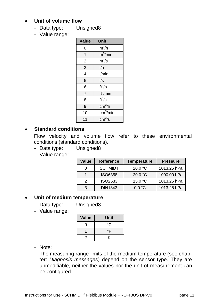#### **Unit of volume flow**

- Data type: Unsigned8
- Value range:

| Value          | Unit                                |
|----------------|-------------------------------------|
| 0              | $m^3/h$                             |
| 1              | $m^3/m$ in                          |
| $\overline{2}$ | $m^3/s$                             |
| $\overline{3}$ | 1/h                                 |
| 4              | l/min                               |
| 5              | $\sqrt{s}$                          |
| 6              | $\overline{\text{ft}}^3/\text{h}$   |
| $\overline{7}$ | ft <sup>3</sup> /min                |
| 8              | $\overline{\mathrm{ft}}^3$ /s       |
| 9              | cm <sup>3</sup> /h                  |
| 10             | $\overline{\text{cm}}^3/\text{min}$ |
| 11             | cm <sup>3</sup> /s                  |

#### **Standard conditions**

Flow velocity and volume flow refer to these environmental conditions (standard conditions).

- Data type: Unsigned8
- Value range:

| Value | Reference      | <b>Temperature</b> | <b>Pressure</b> |
|-------|----------------|--------------------|-----------------|
|       | <b>SCHMIDT</b> | 20.0 °C            | 1013.25 hPa     |
|       | ISO6358        | 20.0 °C            | 1000.00 hPa     |
| 2     | ISO2533        | 15.0 °C            | 1013.25 hPa     |
| 3     | DIN1343        | $0.0 \text{ °C}$   | 1013.25 hPa     |

#### **Unit of medium temperature**

- Data type: Unsigned8
- Value range:

| Value | Unit |
|-------|------|
| n     | °C.  |
|       | °F   |
| 2     | ĸ    |

- Note:

The measuring range limits of the medium temperature (see chapter: *[Diagnosis messages](#page-13-0)*) depend on the sensor type. They are unmodifiable, neither the values nor the unit of measurement can be configured.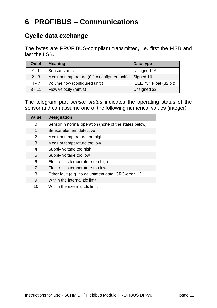# <span id="page-11-0"></span>**6 PROFIBUS – Communications**

#### **Cyclic data exchange**

The bytes are PROFIBUS-compliant transmitted, i.e. first the MSB and last the LSB.

| Octet    | <b>Meaning</b>                             | Data type               |
|----------|--------------------------------------------|-------------------------|
| $0 - 1$  | Sensor status                              | Unsigned 16             |
| $2 - 3$  | Medium temperature (0.1 x configured unit) | Signed 16               |
| $4 - 7$  | Volume flow (configured unit)              | IEEE 754 Float (32 bit) |
| $8 - 11$ | Flow velocity (mm/s)                       | Unsigned 32             |

The telegram part *sensor status* indicates the operating status of the sensor and can assume one of the following numerical values (integer):

| Value | <b>Designation</b>                                    |  |
|-------|-------------------------------------------------------|--|
| 0     | Sensor in normal operation (none of the states below) |  |
| 1     | Sensor element defective                              |  |
| 2     | Medium temperature too high                           |  |
| 3     | Medium temperature too low                            |  |
| 4     | Supply voltage too high                               |  |
| 5     | Supply voltage too low                                |  |
| 6     | Electronics temperature too high                      |  |
| 7     | Electronics temperature too low                       |  |
| 8     | Other fault (e.g. no adjustment data, CRC-error )     |  |
| 9     | Within the internal zfc limit                         |  |
| 10    | Within the external zfc limit                         |  |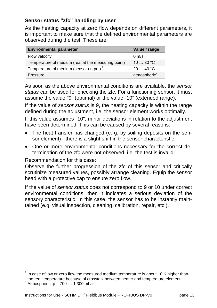#### **Sensor status "zfc" handling by user**

As the heating capacity at zero flow depends on different parameters, it is important to make sure that the defined environmental parameters are observed during the test. These are:

| <b>Environmental parameter</b>                      | Value / range            |
|-----------------------------------------------------|--------------------------|
| Flow velocity                                       | $0 \text{ m/s}$          |
| Temperature of medium (real at the measuring point) | 10 $\dots$ 30 °C         |
| Temperature of medium (sensor output)               | 2040 °C                  |
| Pressure                                            | atmospheric <sup>8</sup> |

As soon as the above environmental conditions are available, the *sensor status* can be used for checking the zfc. For a functioning sensor, it must assume the value "9" (optimal) or the value "10" (extended range).

If the value of *sensor status* is 9, the heating capacity is within the range defined during the adjustment, i.e. the sensor element works optimally.

If this value assumes "10", minor deviations in relation to the adjustment have been determined. This can be caused by several reasons:

- The heat transfer has changed (e. g. by soiling deposits on the sensor element) - there is a slight shift in the sensor characteristic.
- One or more environmental conditions necessary for the correct determination of the zfc were not observed, i.e. the test is invalid.

Recommendation for this case:

Observe the further progression of the zfc of this sensor and critically scrutinize measured values, possibly arrange cleaning. Equip the sensor head with a protective cap to ensure zero flow.

If the value of *sensor status* does not correspond to 9 or 10 under correct environmental conditions, then it indicates a serious deviation of the sensory characteristic. In this case, the sensor has to be instantly maintained (e.g. visual inspection, cleaning, calibration, repair, etc.).

1

 $<sup>7</sup>$  In case of low or zero flow the measured medium temperature is about 10 K higher than</sup> the real temperature because of crosstalk between heater and temperature element.

 $8$  Atmospheric: p = 700  $\dots$  1,300 mbar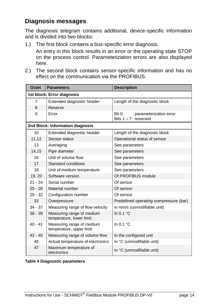#### <span id="page-13-0"></span>**Diagnosis messages**

The diagnosis telegram contains additional, device-specific information and is divided into two blocks:

1.) The first block contains a bus-specific error diagnosis.

An entry in this block results in an error or the operating state STOP on the process control. Parameterization errors are also displayed here.

2.) The second block contains sensor-specific information and has no effect on the communication via the PROFIBUS.

| Octet                            | <b>Parameters</b>                                     | <b>Description</b>                                          |  |
|----------------------------------|-------------------------------------------------------|-------------------------------------------------------------|--|
| 1st block: Error diagnosis       |                                                       |                                                             |  |
| 7                                | Extended diagnostic header                            | Length of the diagnostic block                              |  |
| 8                                | Reserve                                               |                                                             |  |
| 9                                | Error                                                 | Bit 0:<br>parameterization error<br>Bits $1 - 7$ : reserved |  |
| 2nd Block: Information diagnosis |                                                       |                                                             |  |
| 10                               | Extended diagnostic header                            | Length of the diagnostic block                              |  |
| 11,12                            | Sensor status                                         | Operational status of sensor                                |  |
| 13                               | Averaging                                             | See parameters                                              |  |
| 14,15                            | Pipe diameter                                         | See parameters                                              |  |
| 16                               | Unit of volume flow                                   | See parameters                                              |  |
| 17                               | Standard conditions                                   | See parameters                                              |  |
| 18                               | Unit of medium temperature                            | See parameters                                              |  |
| 19, 20                           | Software version                                      | Of PROFIBUS module                                          |  |
| $21 - 24$                        | Serial number                                         | Of sensor                                                   |  |
| $25 - 28$                        | Material number                                       | Of sensor                                                   |  |
| $29 - 32$                        | Configuration number                                  | Of sensor                                                   |  |
| 33                               | Overpressure                                          | Predefined operating overpressure (bar)                     |  |
| $34 - 37$                        | Measuring range of flow velocity                      | in mm/s (unmodifiable unit)                                 |  |
| $38 - 39$                        | Measuring range of medium<br>temperature, lower limit | In 0.1 $^{\circ}$ C                                         |  |
| $40 - 41$                        | Measuring range of medium<br>temperature, upper limit | In 0.1 $^{\circ}$ C                                         |  |
| $42 - 45$                        | Measuring range of volume flow                        | In the configured unit                                      |  |
| 46                               | Actual temperature of electronics                     | In °C (unmodifiable unit)                                   |  |
| 47                               | Maximum temperature of<br>electronics                 | In °C (unmodifiable unit)                                   |  |

#### **Table 4 Diagnostic parameters**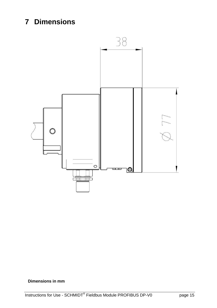# <span id="page-14-0"></span>**7 Dimensions**



#### **Dimensions in mm**